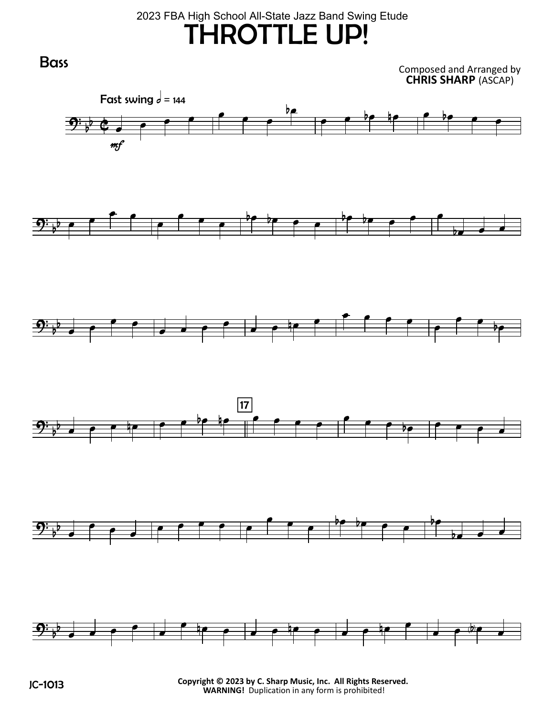## THROTTLE UP! 2023 FBA High School All-State Jazz Band Swing Etude

 $\mathbf{E}$  $\circ$  $\overline{\bullet}$  $\overline{\phantom{a}}$ Fast swing  $d = 144$ mf L  $\overline{\phantom{a}}$ <u>bp</u>  $\overline{\phantom{a}}$  , and the state of  $\overline{\phantom{a}}$  $9\overline{\phantom{a}}\overline{\phantom{a}}\overline{\phantom{a}}\overline{\phantom{a}}$ L  $\overline{\phantom{a}}$  $\overline{\phantom{a}}$ e e bebeerbe Ħ  $\overline{\phantom{0}}$  $\mathbf{D}$  $\frac{1}{2}$  $\overline{\bullet}$  $\overline{\bullet}$  $\overline{\phantom{a}}$  $\overrightarrow{ }$  $\overline{\bullet}$  $\Rightarrow$ P  $\overrightarrow{r}$   $\overrightarrow{r}$  $\overline{\bullet}$  $\overline{\phantom{a}}$  $\overline{\overline{\phantom{0}}\phantom{0}}$  $\overline{\mathbf{P}}$  $\begin{picture}(180,10) \put(0,0){\line(1,0){10}} \put(10,0){\line(1,0){10}} \put(10,0){\line(1,0){10}} \put(10,0){\line(1,0){10}} \put(10,0){\line(1,0){10}} \put(10,0){\line(1,0){10}} \put(10,0){\line(1,0){10}} \put(10,0){\line(1,0){10}} \put(10,0){\line(1,0){10}} \put(10,0){\line(1,0){10}} \put(10,0){\line(1,0){10}} \put(10,0){\line($ **17** L  $\overline{\phantom{a}}$  $\overline{\overline{\phantom{0}}\phantom{0}}$  $\bullet$   $\bullet$   $\bullet$  $\frac{1}{2}$  $\frac{1}{2}$  $\overline{\bullet}$  $\overline{\bullet}$  $\overline{\bullet}$  $\frac{1}{\epsilon}$  $\qquad \qquad \bullet \qquad \bullet \qquad \bullet$ L  $\bullet$   $\bullet$   $\bullet$   $\bullet$   $\bullet$   $\bullet$  $\overrightarrow{b}$   $\overrightarrow{c}$   $\overrightarrow{d}$  $\mathbf{D}$ b  $\overrightarrow{ }$  $\overline{\phantom{a}}$  $\overrightarrow{ }$ L  $\bullet$   $\bullet$   $\bullet$   $\bullet$   $\bullet$   $\bullet$ L  $\begin{array}{c|c|c|c} \hline \rule{0pt}{2ex} & \rule{0pt}{2ex} & \rule{0pt}{2ex} \end{array} \hspace{1em} \begin{array}{c} \rule{0pt}{2ex} \rule{0pt}{2ex} & \rule{0pt}{2ex} \rule{0pt}{2ex} \end{array}$  $\overrightarrow{ }$ **Bass** Composed and Arranged by CHRIS SHARP (ASCAP)

C**-1013 Copyright © 2023 by C. Sharp Music, Inc. All Rights Reserved.**<br>WARNING! Duplication in any form is prohibited!